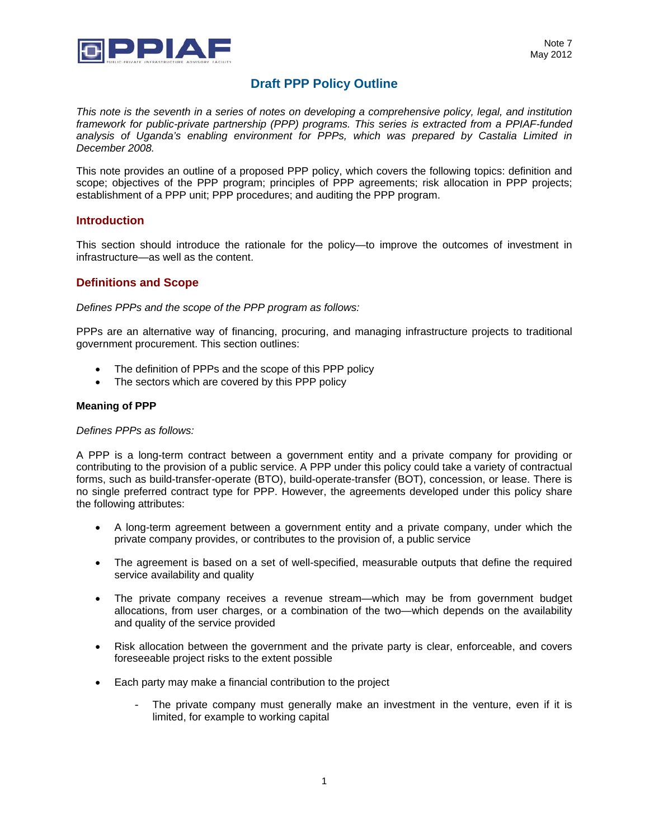

# **Draft PPP Policy Outline**

*This note is the seventh in a series of notes on developing a comprehensive policy, legal, and institution framework for public-private partnership (PPP) programs. This series is extracted from a PPIAF-funded analysis of Uganda's enabling environment for PPPs, which was prepared by Castalia Limited in December 2008.* 

This note provides an outline of a proposed PPP policy, which covers the following topics: definition and scope; objectives of the PPP program; principles of PPP agreements; risk allocation in PPP projects; establishment of a PPP unit; PPP procedures; and auditing the PPP program.

## **Introduction**

This section should introduce the rationale for the policy—to improve the outcomes of investment in infrastructure—as well as the content.

## **Definitions and Scope**

*Defines PPPs and the scope of the PPP program as follows:* 

PPPs are an alternative way of financing, procuring, and managing infrastructure projects to traditional government procurement. This section outlines:

- The definition of PPPs and the scope of this PPP policy
- The sectors which are covered by this PPP policy

#### **Meaning of PPP**

*Defines PPPs as follows:* 

A PPP is a long-term contract between a government entity and a private company for providing or contributing to the provision of a public service. A PPP under this policy could take a variety of contractual forms, such as build-transfer-operate (BTO), build-operate-transfer (BOT), concession, or lease. There is no single preferred contract type for PPP. However, the agreements developed under this policy share the following attributes:

- A long-term agreement between a government entity and a private company, under which the private company provides, or contributes to the provision of, a public service
- The agreement is based on a set of well-specified, measurable outputs that define the required service availability and quality
- The private company receives a revenue stream—which may be from government budget allocations, from user charges, or a combination of the two—which depends on the availability and quality of the service provided
- Risk allocation between the government and the private party is clear, enforceable, and covers foreseeable project risks to the extent possible
- Each party may make a financial contribution to the project
	- The private company must generally make an investment in the venture, even if it is limited, for example to working capital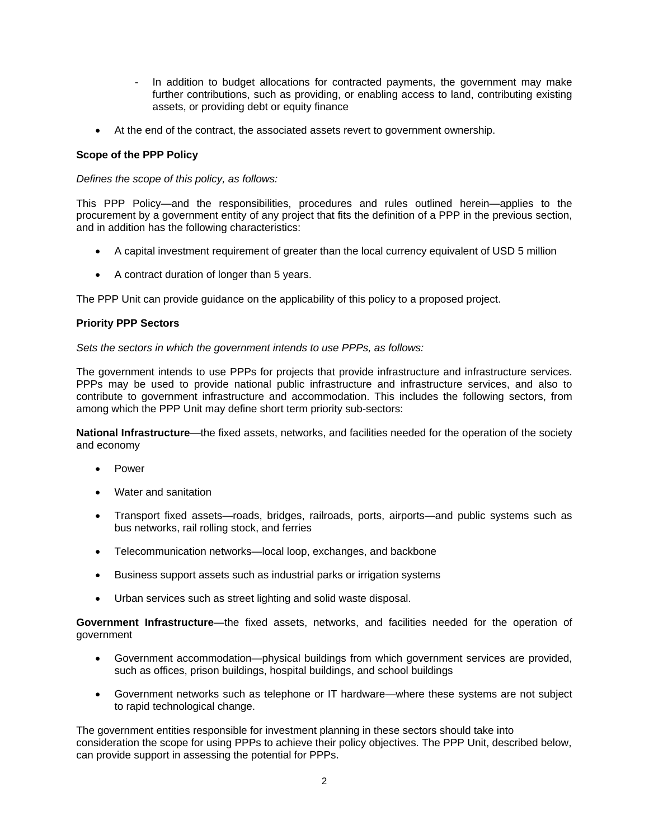- In addition to budget allocations for contracted payments, the government may make further contributions, such as providing, or enabling access to land, contributing existing assets, or providing debt or equity finance
- At the end of the contract, the associated assets revert to government ownership.

## **Scope of the PPP Policy**

### *Defines the scope of this policy, as follows:*

This PPP Policy—and the responsibilities, procedures and rules outlined herein—applies to the procurement by a government entity of any project that fits the definition of a PPP in the previous section, and in addition has the following characteristics:

- A capital investment requirement of greater than the local currency equivalent of USD 5 million
- A contract duration of longer than 5 years.

The PPP Unit can provide guidance on the applicability of this policy to a proposed project.

## **Priority PPP Sectors**

### *Sets the sectors in which the government intends to use PPPs, as follows:*

The government intends to use PPPs for projects that provide infrastructure and infrastructure services. PPPs may be used to provide national public infrastructure and infrastructure services, and also to contribute to government infrastructure and accommodation. This includes the following sectors, from among which the PPP Unit may define short term priority sub-sectors:

**National Infrastructure**—the fixed assets, networks, and facilities needed for the operation of the society and economy

- Power
- Water and sanitation
- Transport fixed assets—roads, bridges, railroads, ports, airports—and public systems such as bus networks, rail rolling stock, and ferries
- Telecommunication networks—local loop, exchanges, and backbone
- Business support assets such as industrial parks or irrigation systems
- Urban services such as street lighting and solid waste disposal.

**Government Infrastructure**—the fixed assets, networks, and facilities needed for the operation of government

- Government accommodation—physical buildings from which government services are provided, such as offices, prison buildings, hospital buildings, and school buildings
- Government networks such as telephone or IT hardware—where these systems are not subject to rapid technological change.

The government entities responsible for investment planning in these sectors should take into consideration the scope for using PPPs to achieve their policy objectives. The PPP Unit, described below, can provide support in assessing the potential for PPPs.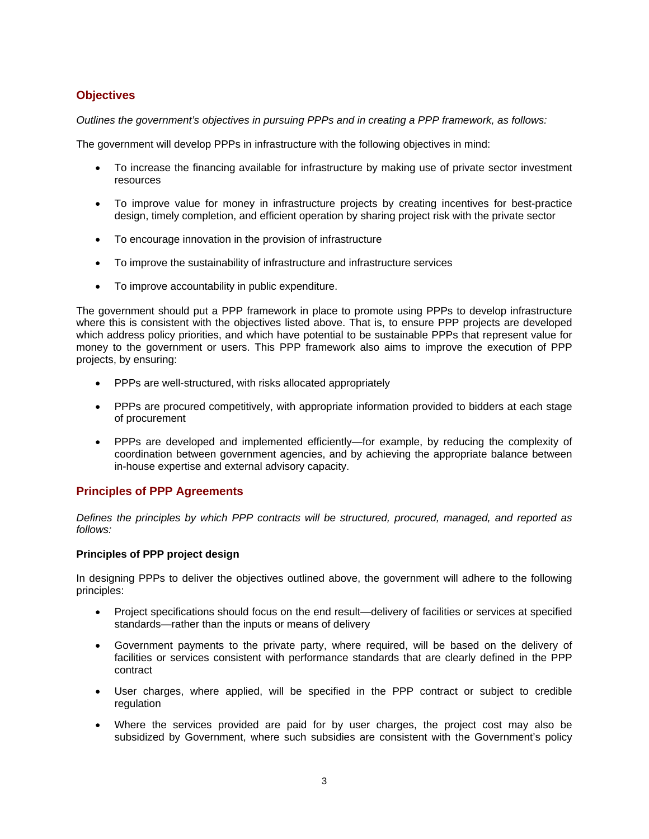# **Objectives**

*Outlines the government's objectives in pursuing PPPs and in creating a PPP framework, as follows:* 

The government will develop PPPs in infrastructure with the following objectives in mind:

- To increase the financing available for infrastructure by making use of private sector investment resources
- To improve value for money in infrastructure projects by creating incentives for best-practice design, timely completion, and efficient operation by sharing project risk with the private sector
- To encourage innovation in the provision of infrastructure
- To improve the sustainability of infrastructure and infrastructure services
- To improve accountability in public expenditure.

The government should put a PPP framework in place to promote using PPPs to develop infrastructure where this is consistent with the objectives listed above. That is, to ensure PPP projects are developed which address policy priorities, and which have potential to be sustainable PPPs that represent value for money to the government or users. This PPP framework also aims to improve the execution of PPP projects, by ensuring:

- PPPs are well-structured, with risks allocated appropriately
- PPPs are procured competitively, with appropriate information provided to bidders at each stage of procurement
- PPPs are developed and implemented efficiently—for example, by reducing the complexity of coordination between government agencies, and by achieving the appropriate balance between in-house expertise and external advisory capacity.

# **Principles of PPP Agreements**

*Defines the principles by which PPP contracts will be structured, procured, managed, and reported as follows:* 

### **Principles of PPP project design**

In designing PPPs to deliver the objectives outlined above, the government will adhere to the following principles:

- Project specifications should focus on the end result—delivery of facilities or services at specified standards—rather than the inputs or means of delivery
- Government payments to the private party, where required, will be based on the delivery of facilities or services consistent with performance standards that are clearly defined in the PPP contract
- User charges, where applied, will be specified in the PPP contract or subject to credible regulation
- Where the services provided are paid for by user charges, the project cost may also be subsidized by Government, where such subsidies are consistent with the Government's policy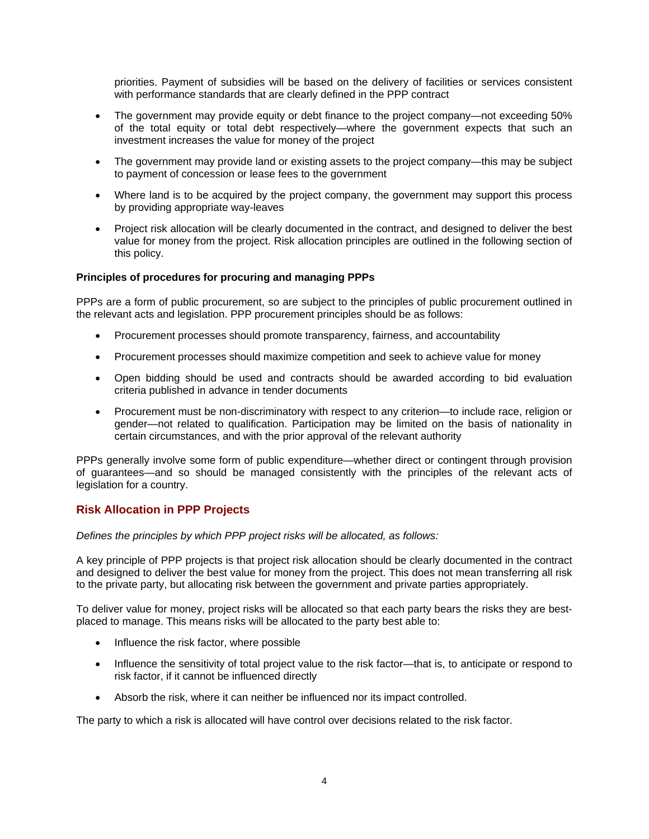priorities. Payment of subsidies will be based on the delivery of facilities or services consistent with performance standards that are clearly defined in the PPP contract

- The government may provide equity or debt finance to the project company—not exceeding 50% of the total equity or total debt respectively—where the government expects that such an investment increases the value for money of the project
- The government may provide land or existing assets to the project company—this may be subject to payment of concession or lease fees to the government
- Where land is to be acquired by the project company, the government may support this process by providing appropriate way-leaves
- Project risk allocation will be clearly documented in the contract, and designed to deliver the best value for money from the project. Risk allocation principles are outlined in the following section of this policy.

## **Principles of procedures for procuring and managing PPPs**

PPPs are a form of public procurement, so are subject to the principles of public procurement outlined in the relevant acts and legislation. PPP procurement principles should be as follows:

- Procurement processes should promote transparency, fairness, and accountability
- Procurement processes should maximize competition and seek to achieve value for money
- Open bidding should be used and contracts should be awarded according to bid evaluation criteria published in advance in tender documents
- Procurement must be non-discriminatory with respect to any criterion—to include race, religion or gender—not related to qualification. Participation may be limited on the basis of nationality in certain circumstances, and with the prior approval of the relevant authority

PPPs generally involve some form of public expenditure—whether direct or contingent through provision of guarantees—and so should be managed consistently with the principles of the relevant acts of legislation for a country.

## **Risk Allocation in PPP Projects**

*Defines the principles by which PPP project risks will be allocated, as follows:* 

A key principle of PPP projects is that project risk allocation should be clearly documented in the contract and designed to deliver the best value for money from the project. This does not mean transferring all risk to the private party, but allocating risk between the government and private parties appropriately.

To deliver value for money, project risks will be allocated so that each party bears the risks they are bestplaced to manage. This means risks will be allocated to the party best able to:

- Influence the risk factor, where possible
- Influence the sensitivity of total project value to the risk factor—that is, to anticipate or respond to risk factor, if it cannot be influenced directly
- Absorb the risk, where it can neither be influenced nor its impact controlled.

The party to which a risk is allocated will have control over decisions related to the risk factor.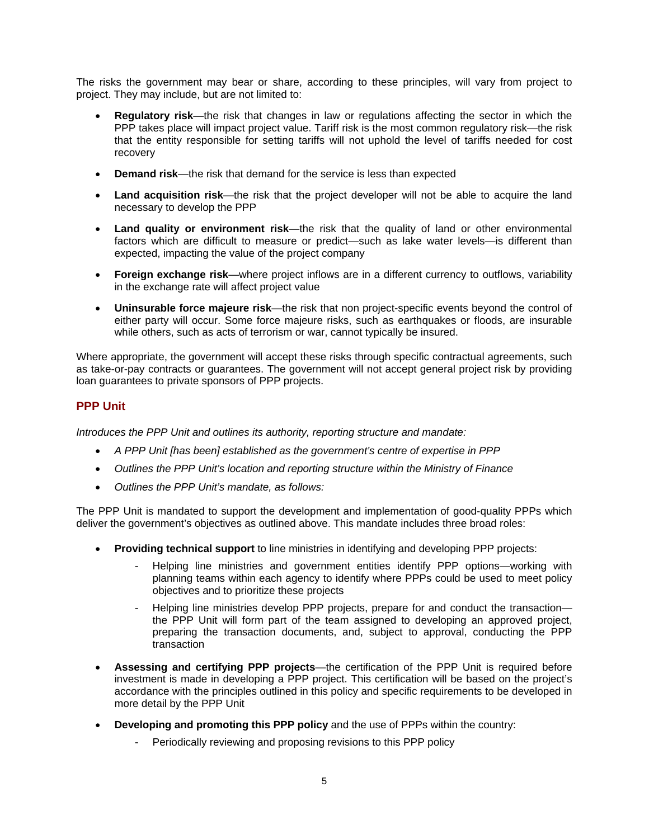The risks the government may bear or share, according to these principles, will vary from project to project. They may include, but are not limited to:

- **Regulatory risk**—the risk that changes in law or regulations affecting the sector in which the PPP takes place will impact project value. Tariff risk is the most common regulatory risk—the risk that the entity responsible for setting tariffs will not uphold the level of tariffs needed for cost recovery
- **Demand risk**—the risk that demand for the service is less than expected
- **Land acquisition risk**—the risk that the project developer will not be able to acquire the land necessary to develop the PPP
- **Land quality or environment risk**—the risk that the quality of land or other environmental factors which are difficult to measure or predict—such as lake water levels—is different than expected, impacting the value of the project company
- **Foreign exchange risk**—where project inflows are in a different currency to outflows, variability in the exchange rate will affect project value
- **Uninsurable force majeure risk**—the risk that non project-specific events beyond the control of either party will occur. Some force majeure risks, such as earthquakes or floods, are insurable while others, such as acts of terrorism or war, cannot typically be insured.

Where appropriate, the government will accept these risks through specific contractual agreements, such as take-or-pay contracts or guarantees. The government will not accept general project risk by providing loan guarantees to private sponsors of PPP projects.

# **PPP Unit**

*Introduces the PPP Unit and outlines its authority, reporting structure and mandate:* 

- *A PPP Unit [has been] established as the government's centre of expertise in PPP*
- *Outlines the PPP Unit's location and reporting structure within the Ministry of Finance*
- *Outlines the PPP Unit's mandate, as follows:*

The PPP Unit is mandated to support the development and implementation of good-quality PPPs which deliver the government's objectives as outlined above. This mandate includes three broad roles:

- **Providing technical support** to line ministries in identifying and developing PPP projects:
	- Helping line ministries and government entities identify PPP options—working with planning teams within each agency to identify where PPPs could be used to meet policy objectives and to prioritize these projects
	- Helping line ministries develop PPP projects, prepare for and conduct the transaction the PPP Unit will form part of the team assigned to developing an approved project, preparing the transaction documents, and, subject to approval, conducting the PPP transaction
- **Assessing and certifying PPP projects**—the certification of the PPP Unit is required before investment is made in developing a PPP project. This certification will be based on the project's accordance with the principles outlined in this policy and specific requirements to be developed in more detail by the PPP Unit
- **Developing and promoting this PPP policy** and the use of PPPs within the country:
	- Periodically reviewing and proposing revisions to this PPP policy